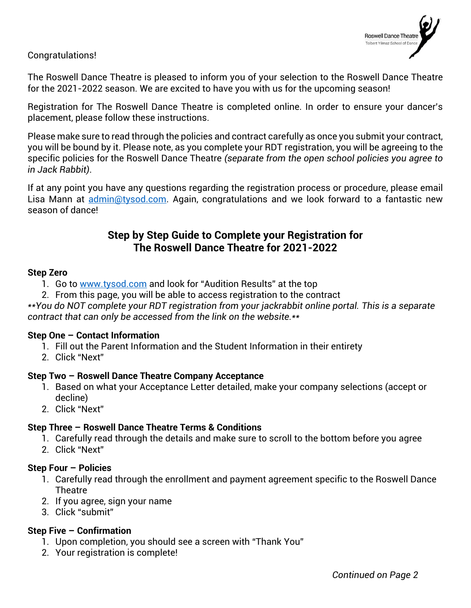

Congratulations!

The Roswell Dance Theatre is pleased to inform you of your selection to the Roswell Dance Theatre for the 2021-2022 season. We are excited to have you with us for the upcoming season!

Registration for The Roswell Dance Theatre is completed online. In order to ensure your dancer's placement, please follow these instructions.

Please make sure to read through the policies and contract carefully as once you submit your contract, you will be bound by it. Please note, as you complete your RDT registration, you will be agreeing to the specific policies for the Roswell Dance Theatre *(separate from the open school policies you agree to in Jack Rabbit)*.

If at any point you have any questions regarding the registration process or procedure, please email Lisa Mann at [admin@tysod.com.](mailto:admin@tysod.com) Again, congratulations and we look forward to a fantastic new season of dance!

# **Step by Step Guide to Complete your Registration for The Roswell Dance Theatre for 2021-2022**

#### **Step Zero**

- 1. Go to [www.tysod.com](http://www.tysod.com/) and look for "Audition Results" at the top
- 2. From this page, you will be able to access registration to the contract

*\*\*You do NOT complete your RDT registration from your jackrabbit online portal. This is a separate contract that can only be accessed from the link on the website.\*\**

#### **Step One – Contact Information**

- 1. Fill out the Parent Information and the Student Information in their entirety
- 2. Click "Next"

## **Step Two – Roswell Dance Theatre Company Acceptance**

- 1. Based on what your Acceptance Letter detailed, make your company selections (accept or decline)
- 2. Click "Next"

#### **Step Three – Roswell Dance Theatre Terms & Conditions**

- 1. Carefully read through the details and make sure to scroll to the bottom before you agree
- 2. Click "Next"

#### **Step Four – Policies**

- 1. Carefully read through the enrollment and payment agreement specific to the Roswell Dance **Theatre**
- 2. If you agree, sign your name
- 3. Click "submit"

#### **Step Five – Confirmation**

- 1. Upon completion, you should see a screen with "Thank You"
- 2. Your registration is complete!